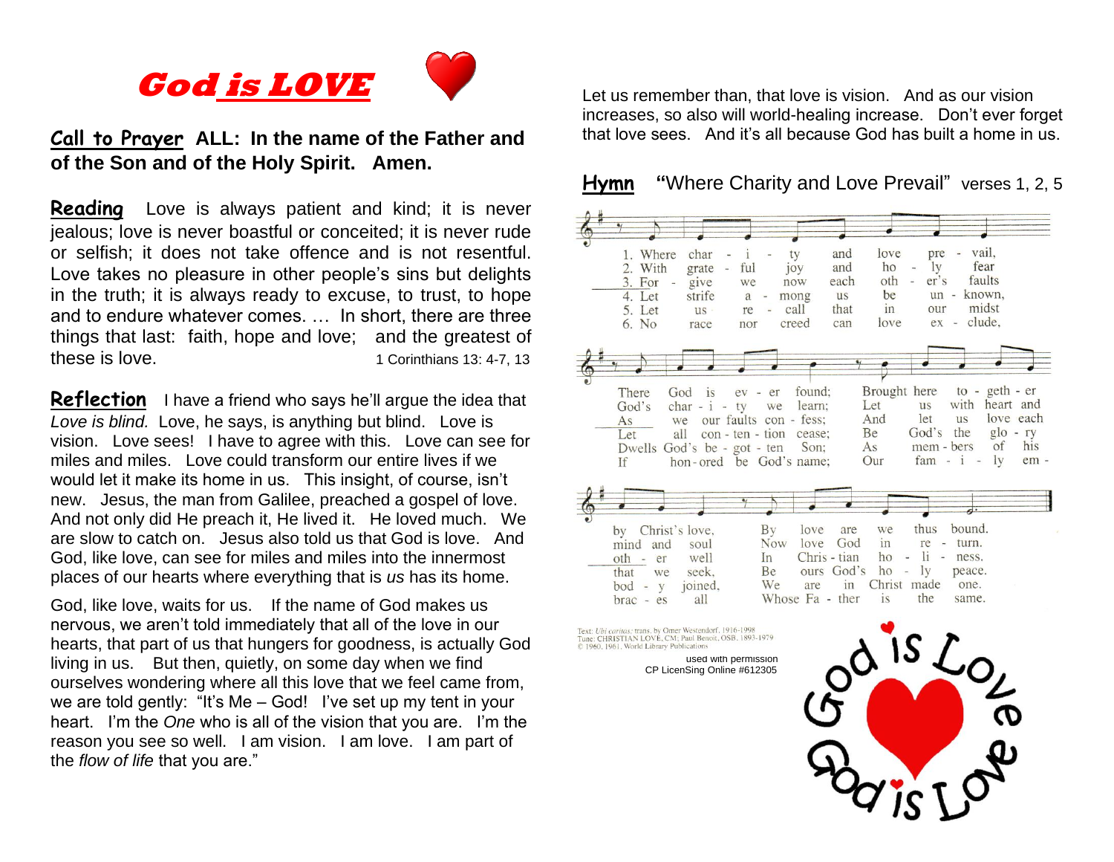

## **Call to Prayer ALL: In the name of the Father and of the Son and of the Holy Spirit. Amen.**

**Reading** Love is always patient and kind; it is never jealous; love is never boastful or conceited; it is never rude or selfish; it does not take offence and is not resentful. Love takes no pleasure in other people's sins but delights in the truth; it is always ready to excuse, to trust, to hope and to endure whatever comes. … In short, there are three things that last: faith, hope and love; and the greatest of these is love. 1 Corinthians 13: 4-7, 13

**Reflection** I have a friend who says he'll argue the idea that *Love is blind.* Love, he says, is anything but blind. Love is vision. Love sees! I have to agree with this. Love can see for miles and miles. Love could transform our entire lives if we would let it make its home in us. This insight, of course, isn't new. Jesus, the man from Galilee, preached a gospel of love. And not only did He preach it, He lived it. He loved much. We are slow to catch on. Jesus also told us that God is love. And God, like love, can see for miles and miles into the innermost places of our hearts where everything that is *us* has its home.

God, like love, waits for us. If the name of God makes us nervous, we aren't told immediately that all of the love in our hearts, that part of us that hungers for goodness, is actually God living in us. But then, quietly, on some day when we find ourselves wondering where all this love that we feel came from, we are told gently: "It's Me – God! I've set up my tent in your heart. I'm the *One* who is all of the vision that you are. I'm the reason you see so well. I am vision. I am love. I am part of the *flow of life* that you are."

Let us remember than, that love is vision. And as our vision increases, so also will world-healing increase. Don't ever forget that love sees. And it's all because God has built a home in us.

#### **Hymn "**Where Charity and Love Prevail" verses 1, 2, 5



Text: *Ubi caritas;* trans. by Omer Westendorf, 1916-1998<br>Tune: CHRISTIAN LOVE, CM; Paul Benoit, OSB, 1893-1979 C 1960, 1961, World Library Publications

> used with permission CP LicenSing Online #612305